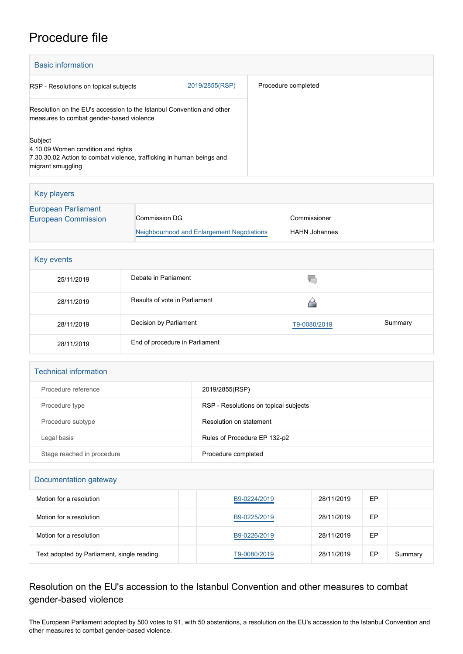## Procedure file

| <b>Basic information</b>                                                                                                                    |                |                     |  |
|---------------------------------------------------------------------------------------------------------------------------------------------|----------------|---------------------|--|
| RSP - Resolutions on topical subjects                                                                                                       | 2019/2855(RSP) | Procedure completed |  |
| Resolution on the EU's accession to the Istanbul Convention and other<br>measures to combat gender-based violence                           |                |                     |  |
| Subject<br>4.10.09 Women condition and rights<br>7.30.30.02 Action to combat violence, trafficking in human beings and<br>migrant smuggling |                |                     |  |

| Key players                                              |                                            |                      |
|----------------------------------------------------------|--------------------------------------------|----------------------|
| <b>European Parliament</b><br><b>European Commission</b> | Commission DG                              | Commissioner         |
|                                                          | Neighbourhood and Enlargement Negotiations | <b>HAHN Johannes</b> |

| Key events |                                |              |         |  |
|------------|--------------------------------|--------------|---------|--|
| 25/11/2019 | Debate in Parliament           | W.           |         |  |
| 28/11/2019 | Results of vote in Parliament  |              |         |  |
| 28/11/2019 | Decision by Parliament         | T9-0080/2019 | Summary |  |
| 28/11/2019 | End of procedure in Parliament |              |         |  |

| <b>Technical information</b> |                                       |  |  |  |
|------------------------------|---------------------------------------|--|--|--|
| Procedure reference          | 2019/2855(RSP)                        |  |  |  |
| Procedure type               | RSP - Resolutions on topical subjects |  |  |  |
| Procedure subtype            | Resolution on statement               |  |  |  |
| Legal basis                  | Rules of Procedure EP 132-p2          |  |  |  |
| Stage reached in procedure   | Procedure completed                   |  |  |  |

| Documentation gateway                      |              |            |    |         |  |
|--------------------------------------------|--------------|------------|----|---------|--|
| Motion for a resolution                    | B9-0224/2019 | 28/11/2019 | EP |         |  |
| Motion for a resolution                    | B9-0225/2019 | 28/11/2019 | EP |         |  |
| Motion for a resolution                    | B9-0226/2019 | 28/11/2019 | EP |         |  |
| Text adopted by Parliament, single reading | T9-0080/2019 | 28/11/2019 | EP | Summary |  |

## Resolution on the EU's accession to the Istanbul Convention and other measures to combat gender-based violence

The European Parliament adopted by 500 votes to 91, with 50 abstentions, a resolution on the EU's accession to the Istanbul Convention and other measures to combat gender-based violence.